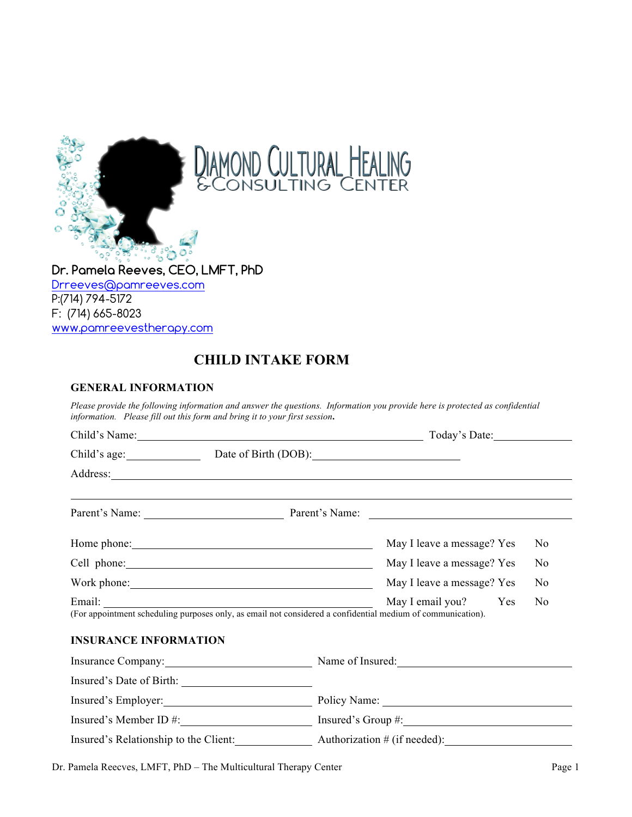

AMOND CULTURAL HEALING<br>CONSULTING CENTER

**Dr. Pamela Reeves, CEO, LMFT, PhD** Drreeves@pamreeves.com P:(714) 794-5172 F: (714) 665-8023 www.pamreevestherapy.com

# **CHILD INTAKE FORM**

## **GENERAL INFORMATION**

*Please provide the following information and answer the questions. Information you provide here is protected as confidential information. Please fill out this form and bring it to your first session***.** 

| Child's Name: 1988 Child Child Child Child Child Child Child Child Child Child Child Child Child Child Child Child Child Child Child Child Child Child Child Child Child Child Child Child Child Child Child Child Child Child | Today's Date:                                     |                            |                |  |  |
|--------------------------------------------------------------------------------------------------------------------------------------------------------------------------------------------------------------------------------|---------------------------------------------------|----------------------------|----------------|--|--|
| Child's age: Date of Birth (DOB):                                                                                                                                                                                              |                                                   |                            |                |  |  |
| Address: Address:                                                                                                                                                                                                              |                                                   |                            |                |  |  |
| <u> 1999 - Andrea Barbara, Amerikaansk politik (d. 1989)</u><br>Parent's Name: Parent's Name: Parent's Name:                                                                                                                   |                                                   |                            |                |  |  |
|                                                                                                                                                                                                                                |                                                   | May I leave a message? Yes | N <sub>0</sub> |  |  |
|                                                                                                                                                                                                                                | May I leave a message? Yes<br>N <sub>0</sub>      |                            |                |  |  |
|                                                                                                                                                                                                                                |                                                   | May I leave a message? Yes | N <sub>0</sub> |  |  |
| Email: May I email you?<br>(For appointment scheduling purposes only, as email not considered a confidential medium of communication).                                                                                         |                                                   | May I email you? Yes       | N <sub>0</sub> |  |  |
| <b>INSURANCE INFORMATION</b>                                                                                                                                                                                                   |                                                   |                            |                |  |  |
| Insurance Company: Name of Insured: Name of Insured:                                                                                                                                                                           |                                                   |                            |                |  |  |
|                                                                                                                                                                                                                                |                                                   |                            |                |  |  |
|                                                                                                                                                                                                                                |                                                   |                            |                |  |  |
|                                                                                                                                                                                                                                | Insured's Member ID $\#$ : Insured's Group $\#$ : |                            |                |  |  |
| Insured's Relationship to the Client:                                                                                                                                                                                          | Authorization # (if needed):                      |                            |                |  |  |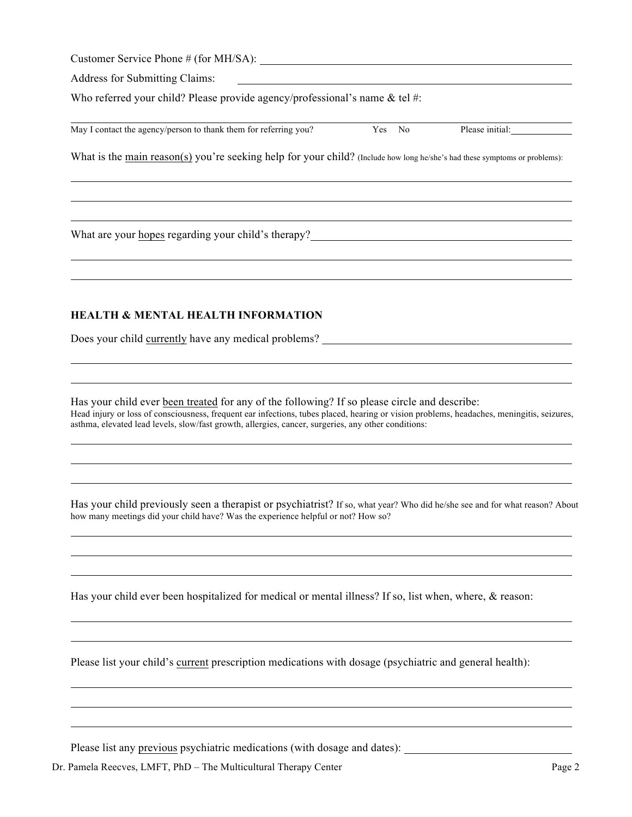| Customer Service Phone $#$ (for MH/SA): |  |
|-----------------------------------------|--|
|-----------------------------------------|--|

Address for Submitting Claims:

Who referred your child? Please provide agency/professional's name & tel #:

| May I contact the agency/person to thank them for referring y<br>vou. | $\sqrt{2}$<br>N. | 101t1a |
|-----------------------------------------------------------------------|------------------|--------|
|                                                                       |                  |        |

What is the main reason(s) you're seeking help for your child? (Include how long he/she's had these symptoms or problems):

What are your hopes regarding your child's therapy?

## **HEALTH & MENTAL HEALTH INFORMATION**

Does your child currently have any medical problems?

Has your child ever been treated for any of the following? If so please circle and describe: Head injury or loss of consciousness, frequent ear infections, tubes placed, hearing or vision problems, headaches, meningitis, seizures, asthma, elevated lead levels, slow/fast growth, allergies, cancer, surgeries, any other conditions:

Has your child previously seen a therapist or psychiatrist? If so, what year? Who did he/she see and for what reason? About how many meetings did your child have? Was the experience helpful or not? How so?

Has your child ever been hospitalized for medical or mental illness? If so, list when, where, & reason:

Please list your child's current prescription medications with dosage (psychiatric and general health):

Please list any previous psychiatric medications (with dosage and dates):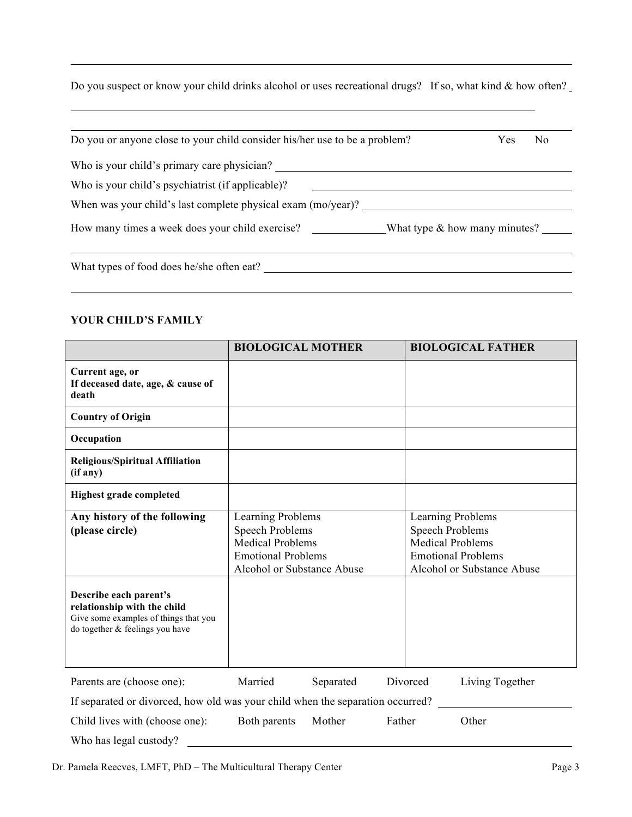Do you suspect or know your child drinks alcohol or uses recreational drugs? If so, what kind & how often?

| Do you or anyone close to your child consider his/her use to be a problem? |                                  |  |  |  |  |
|----------------------------------------------------------------------------|----------------------------------|--|--|--|--|
| Who is your child's primary care physician?                                |                                  |  |  |  |  |
| Who is your child's psychiatrist (if applicable)?                          |                                  |  |  |  |  |
| When was your child's last complete physical exam (mo/year)?               |                                  |  |  |  |  |
| How many times a week does your child exercise?                            | What type $\&$ how many minutes? |  |  |  |  |
|                                                                            |                                  |  |  |  |  |
| What types of food does he/she often eat?                                  |                                  |  |  |  |  |

# **YOUR CHILD'S FAMILY**

|                                                                                                                                   | <b>BIOLOGICAL MOTHER</b>                                                                                                          |           |        |                                                                                                                                   | <b>BIOLOGICAL FATHER</b> |  |
|-----------------------------------------------------------------------------------------------------------------------------------|-----------------------------------------------------------------------------------------------------------------------------------|-----------|--------|-----------------------------------------------------------------------------------------------------------------------------------|--------------------------|--|
| Current age, or<br>If deceased date, age, & cause of<br>death                                                                     |                                                                                                                                   |           |        |                                                                                                                                   |                          |  |
| <b>Country of Origin</b>                                                                                                          |                                                                                                                                   |           |        |                                                                                                                                   |                          |  |
| Occupation                                                                                                                        |                                                                                                                                   |           |        |                                                                                                                                   |                          |  |
| <b>Religious/Spiritual Affiliation</b><br>(if any)                                                                                |                                                                                                                                   |           |        |                                                                                                                                   |                          |  |
| <b>Highest grade completed</b>                                                                                                    |                                                                                                                                   |           |        |                                                                                                                                   |                          |  |
| Any history of the following<br>(please circle)                                                                                   | Learning Problems<br><b>Speech Problems</b><br><b>Medical Problems</b><br><b>Emotional Problems</b><br>Alcohol or Substance Abuse |           |        | Learning Problems<br><b>Speech Problems</b><br><b>Medical Problems</b><br><b>Emotional Problems</b><br>Alcohol or Substance Abuse |                          |  |
| Describe each parent's<br>relationship with the child<br>Give some examples of things that you<br>do together & feelings you have |                                                                                                                                   |           |        |                                                                                                                                   |                          |  |
| Parents are (choose one):                                                                                                         | Married                                                                                                                           | Separated |        | Divorced                                                                                                                          | Living Together          |  |
| If separated or divorced, how old was your child when the separation occurred?                                                    |                                                                                                                                   |           |        |                                                                                                                                   |                          |  |
| Child lives with (choose one):                                                                                                    | Both parents                                                                                                                      | Mother    | Father |                                                                                                                                   | Other                    |  |
| Who has legal custody?                                                                                                            |                                                                                                                                   |           |        |                                                                                                                                   |                          |  |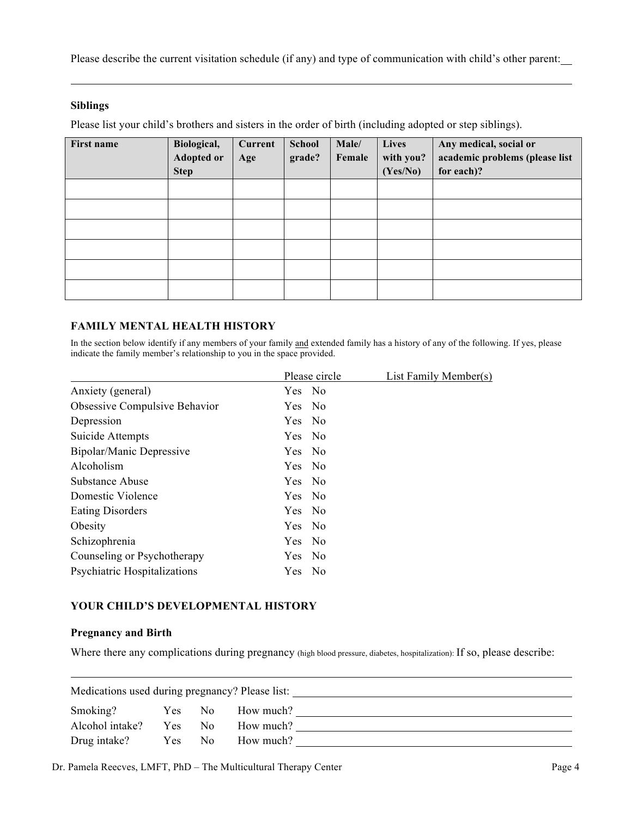Please describe the current visitation schedule (if any) and type of communication with child's other parent:

#### **Siblings**

Please list your child's brothers and sisters in the order of birth (including adopted or step siblings).

| First name | Biological,<br><b>Adopted or</b><br><b>Step</b> | Current<br>Age | <b>School</b><br>grade? | Male/<br>Female | <b>Lives</b><br>with you?<br>(Yes/No) | Any medical, social or<br>academic problems (please list<br>for each)? |
|------------|-------------------------------------------------|----------------|-------------------------|-----------------|---------------------------------------|------------------------------------------------------------------------|
|            |                                                 |                |                         |                 |                                       |                                                                        |
|            |                                                 |                |                         |                 |                                       |                                                                        |
|            |                                                 |                |                         |                 |                                       |                                                                        |
|            |                                                 |                |                         |                 |                                       |                                                                        |
|            |                                                 |                |                         |                 |                                       |                                                                        |
|            |                                                 |                |                         |                 |                                       |                                                                        |

#### **FAMILY MENTAL HEALTH HISTORY**

In the section below identify if any members of your family and extended family has a history of any of the following. If yes, please indicate the family member's relationship to you in the space provided.

|                                      | Please circle | List Family Member(s) |
|--------------------------------------|---------------|-----------------------|
| Anxiety (general)                    | Yes No        |                       |
| <b>Obsessive Compulsive Behavior</b> | Yes No        |                       |
| Depression                           | Yes No        |                       |
| Suicide Attempts                     | Yes No        |                       |
| Bipolar/Manic Depressive             | Yes No        |                       |
| Alcoholism                           | Yes No        |                       |
| Substance Abuse                      | Yes No        |                       |
| Domestic Violence                    | Yes No        |                       |
| <b>Eating Disorders</b>              | Yes No        |                       |
| Obesity                              | Yes No        |                       |
| Schizophrenia                        | Yes No        |                       |
| Counseling or Psychotherapy          | Yes No        |                       |
| Psychiatric Hospitalizations         | Yes No        |                       |

#### **YOUR CHILD'S DEVELOPMENTAL HISTORY**

#### **Pregnancy and Birth**

Where there any complications during pregnancy (high blood pressure, diabetes, hospitalization): If so, please describe:

| Medications used during pregnancy? Please list: |      |                |           |  |
|-------------------------------------------------|------|----------------|-----------|--|
| Smoking?                                        | Yes: | N <sub>0</sub> | How much? |  |
| Alcohol intake?                                 | Yes. | N <sub>0</sub> | How much? |  |
| Drug intake?                                    | Yes  | N <sub>0</sub> | How much? |  |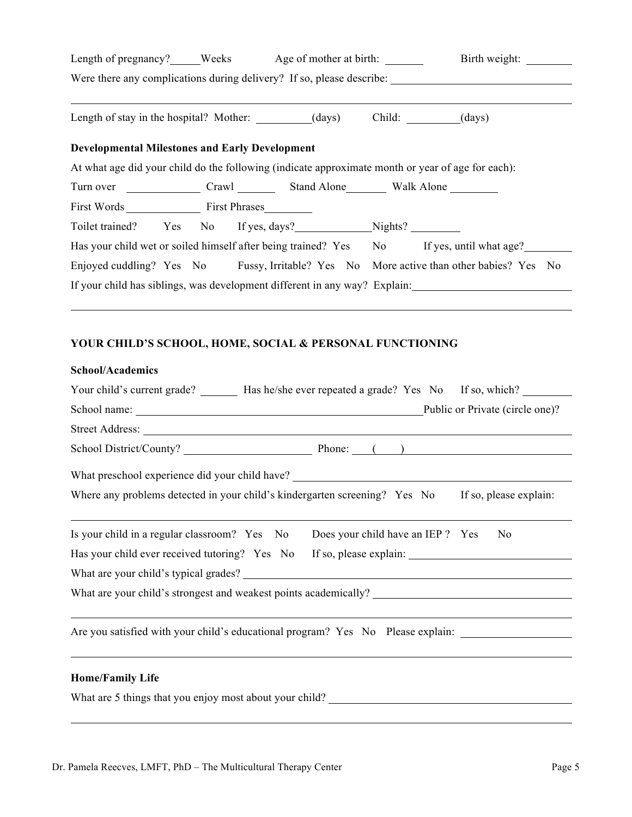| Length of pregnancy? Weeks Age of mother at birth:                    |  |  |  |  |  |  | Birth weight:                                                                                     |  |
|-----------------------------------------------------------------------|--|--|--|--|--|--|---------------------------------------------------------------------------------------------------|--|
| Were there any complications during delivery? If so, please describe: |  |  |  |  |  |  |                                                                                                   |  |
| Length of stay in the hospital? Mother: (days) Child: (days) Child:   |  |  |  |  |  |  |                                                                                                   |  |
| <b>Developmental Milestones and Early Development</b>                 |  |  |  |  |  |  |                                                                                                   |  |
|                                                                       |  |  |  |  |  |  | At what age did your child do the following (indicate approximate month or year of age for each): |  |
|                                                                       |  |  |  |  |  |  |                                                                                                   |  |
| First Words First Phrases                                             |  |  |  |  |  |  |                                                                                                   |  |
| Toilet trained? Yes No If yes, days? Nights?                          |  |  |  |  |  |  |                                                                                                   |  |
|                                                                       |  |  |  |  |  |  | Has your child wet or soiled himself after being trained? Yes No If yes, until what age?          |  |
|                                                                       |  |  |  |  |  |  | Enjoyed cuddling? Yes No Fussy, Irritable? Yes No More active than other babies? Yes No           |  |
|                                                                       |  |  |  |  |  |  | If your child has siblings, was development different in any way? Explain:                        |  |

# **YOUR CHILD'S SCHOOL, HOME, SOCIAL & PERSONAL FUNCTIONING**

| <b>School/Academics</b>                       |                                                                                                      |
|-----------------------------------------------|------------------------------------------------------------------------------------------------------|
|                                               | Your child's current grade? _________ Has he/she ever repeated a grade? Yes No If so, which?         |
|                                               | Public or Private (circle one)?                                                                      |
|                                               | Street Address: New York Changes and Street Address:                                                 |
|                                               |                                                                                                      |
|                                               |                                                                                                      |
|                                               | Where any problems detected in your child's kindergarten screening? Yes No<br>If so, please explain: |
| Is your child in a regular classroom? Yes No  | Does your child have an IEP ? Yes<br>N <sub>0</sub>                                                  |
| Has your child ever received tutoring? Yes No |                                                                                                      |
|                                               |                                                                                                      |
|                                               |                                                                                                      |
|                                               | Are you satisfied with your child's educational program? Yes No Please explain: ___________________  |
| <b>Home/Family Life</b>                       | ,我们也不会有什么。""我们的人,我们也不会有什么?""我们的人,我们也不会有什么?""我们的人,我们也不会有什么?""我们的人,我们也不会有什么?""我们的人                     |
|                                               | What are 5 things that you enjoy most about your child?                                              |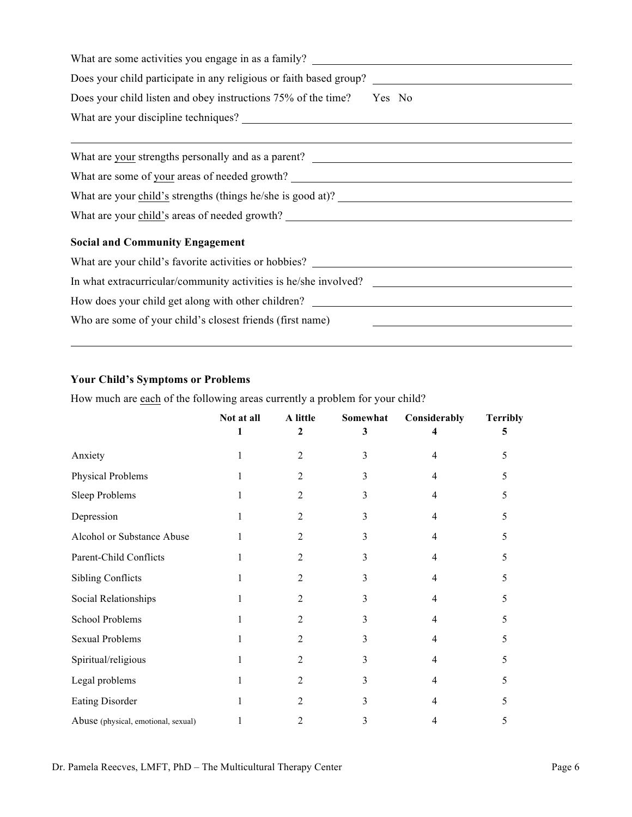| Does your child listen and obey instructions 75% of the time? Yes No |
|----------------------------------------------------------------------|
|                                                                      |
|                                                                      |
|                                                                      |
| What are some of your areas of needed growth?                        |
| What are your child's strengths (things he/she is good at)?          |
|                                                                      |
| <b>Social and Community Engagement</b>                               |
|                                                                      |
|                                                                      |
|                                                                      |
| Who are some of your child's closest friends (first name)            |

# **Your Child's Symptoms or Problems**

How much are each of the following areas currently a problem for your child?

|                                     | Not at all | A little<br>2  | Somewhat<br>3 | Considerably   | <b>Terribly</b><br>5 |
|-------------------------------------|------------|----------------|---------------|----------------|----------------------|
| Anxiety                             | 1          | 2              | 3             | 4              | 5                    |
| Physical Problems                   |            | 2              | 3             | 4              | 5                    |
| Sleep Problems                      | 1          | 2              | 3             | $\overline{4}$ | 5                    |
| Depression                          |            | 2              | 3             | 4              | 5                    |
| Alcohol or Substance Abuse          |            | 2              | 3             | 4              | 5                    |
| Parent-Child Conflicts              |            | $\mathfrak{D}$ | 3             | 4              | 5                    |
| <b>Sibling Conflicts</b>            | 1          | 2              | 3             | 4              | 5                    |
| Social Relationships                | 1          | 2              | 3             | 4              | 5                    |
| School Problems                     |            | 2              | 3             | 4              | 5                    |
| <b>Sexual Problems</b>              |            | 2              | 3             | 4              | 5                    |
| Spiritual/religious                 |            | 2              | 3             | 4              | 5                    |
| Legal problems                      | 1          | 2              | 3             | 4              | 5                    |
| <b>Eating Disorder</b>              |            | 2              | 3             | 4              | 5                    |
| Abuse (physical, emotional, sexual) |            | 2              | 3             | 4              | 5                    |